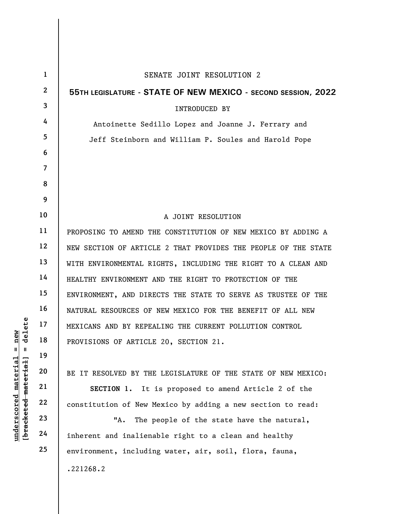|                                             | $\mathbf{1}$   | SENATE JOINT RESOLUTION 2                                      |
|---------------------------------------------|----------------|----------------------------------------------------------------|
|                                             | $\mathbf{2}$   | 55TH LEGISLATURE - STATE OF NEW MEXICO - SECOND SESSION, 2022  |
|                                             | 3              | INTRODUCED BY                                                  |
|                                             | 4              | Antoinette Sedillo Lopez and Joanne J. Ferrary and             |
|                                             | 5              | Jeff Steinborn and William P. Soules and Harold Pope           |
|                                             | 6              |                                                                |
|                                             | $\overline{7}$ |                                                                |
|                                             | 8              |                                                                |
|                                             | 9              |                                                                |
|                                             | 10             | A JOINT RESOLUTION                                             |
|                                             | 11             | PROPOSING TO AMEND THE CONSTITUTION OF NEW MEXICO BY ADDING A  |
|                                             | 12             | NEW SECTION OF ARTICLE 2 THAT PROVIDES THE PEOPLE OF THE STATE |
|                                             | 13             | WITH ENVIRONMENTAL RIGHTS, INCLUDING THE RIGHT TO A CLEAN AND  |
|                                             | 14             | HEALTHY ENVIRONMENT AND THE RIGHT TO PROTECTION OF THE         |
|                                             | 15             | ENVIRONMENT, AND DIRECTS THE STATE TO SERVE AS TRUSTEE OF THE  |
|                                             | 16             | NATURAL RESOURCES OF NEW MEXICO FOR THE BENEFIT OF ALL NEW     |
| delete                                      | 17             | MEXICANS AND BY REPEALING THE CURRENT POLLUTION CONTROL        |
| new<br>Ш<br>Ш                               | 18             | PROVISIONS OF ARTICLE 20, SECTION 21.                          |
|                                             | 19             |                                                                |
|                                             | 20             | BE IT RESOLVED BY THE LEGISLATURE OF THE STATE OF NEW MEXICO:  |
|                                             | 21             | It is proposed to amend Article 2 of the<br>SECTION 1.         |
|                                             | 22             | constitution of New Mexico by adding a new section to read:    |
| underscored material<br>[bracketed material | 23             | "А.<br>The people of the state have the natural,               |
|                                             | 24             | inherent and inalienable right to a clean and healthy          |
|                                             | 25             | environment, including water, air, soil, flora, fauna,         |
|                                             |                | .221268.2                                                      |
|                                             |                |                                                                |

 $\mathsf I$